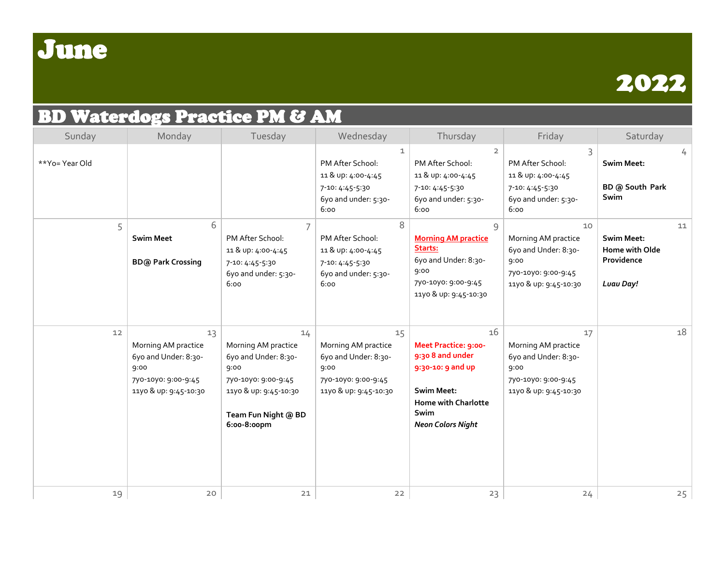

## BD Waterdogs Practice PM & AM

| Sunday         | Monday                                                                                                    | Tuesday                                                                                                                                         | Wednesday                                                                                                 | Thursday                                                                                                                                                          | Friday                                                                                                    | Saturday                                                             |
|----------------|-----------------------------------------------------------------------------------------------------------|-------------------------------------------------------------------------------------------------------------------------------------------------|-----------------------------------------------------------------------------------------------------------|-------------------------------------------------------------------------------------------------------------------------------------------------------------------|-----------------------------------------------------------------------------------------------------------|----------------------------------------------------------------------|
| **Yo= Year Old |                                                                                                           |                                                                                                                                                 | 1<br>PM After School:<br>11 & up: 4:00-4:45<br>7-10: 4:45-5:30<br>6yo and under: 5:30-<br>6:00            | $\overline{2}$<br>PM After School:<br>11 & up: 4:00-4:45<br>7-10: 4:45-5:30<br>6yo and under: 5:30-<br>6:00                                                       | PM After School:<br>11 & up: 4:00-4:45<br>7-10: 4:45-5:30<br>6yo and under: 5:30-<br>6:00                 | 4<br><b>Swim Meet:</b><br>BD @ South Park<br>Swim                    |
| 5              | 6<br><b>Swim Meet</b><br><b>BD@ Park Crossing</b>                                                         | PM After School:<br>11 & up: 4:00-4:45<br>7-10: 4:45-5:30<br>6yo and under: 5:30-<br>6:00                                                       | 8<br>PM After School:<br>11 & up: 4:00-4:45<br>7-10: 4:45-5:30<br>6yo and under: 5:30-<br>6:00            | 9<br><b>Morning AM practice</b><br>Starts:<br>6yo and Under: 8:30-<br>9:00<br>7yo-10yo: 9:00-9:45<br>11yo & up: 9:45-10:30                                        | 10<br>Morning AM practice<br>6yo and Under: 8:30-<br>9:00<br>7yo-10yo: 9:00-9:45<br>11yo & up: 9:45-10:30 | 11<br><b>Swim Meet:</b><br>Home with Olde<br>Providence<br>Luau Day! |
| 12             | 13<br>Morning AM practice<br>6yo and Under: 8:30-<br>9:00<br>7yo-10yo: 9:00-9:45<br>11yo & up: 9:45-10:30 | 14<br>Morning AM practice<br>6yo and Under: 8:30-<br>9:00<br>7yo-10yo: 9:00-9:45<br>11yo & up: 9:45-10:30<br>Team Fun Night @ BD<br>6:00-8:00pm | 15<br>Morning AM practice<br>6yo and Under: 8:30-<br>9:00<br>7yo-10yo: 9:00-9:45<br>11yo & up: 9:45-10:30 | 16<br><b>Meet Practice: 9:00-</b><br>9:30 8 and under<br>9:30-10: 9 and up<br><b>Swim Meet:</b><br><b>Home with Charlotte</b><br>Swim<br><b>Neon Colors Night</b> | 17<br>Morning AM practice<br>6yo and Under: 8:30-<br>9:00<br>7yo-10yo: 9:00-9:45<br>11yo & up: 9:45-10:30 | 18                                                                   |
| 19             | $20$                                                                                                      | $21$                                                                                                                                            | 22                                                                                                        | 23                                                                                                                                                                | 24                                                                                                        | 25                                                                   |